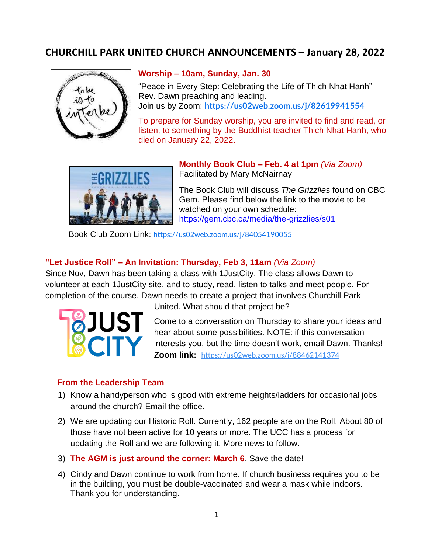# **CHURCHILL PARK UNITED CHURCH ANNOUNCEMENTS – January 28, 2022**



#### **Worship – 10am, Sunday, Jan. 30**

"Peace in Every Step: Celebrating the Life of Thich Nhat Hanh" Rev. Dawn preaching and leading. Join us by Zoom: **<https://us02web.zoom.us/j/82619941554>**

To prepare for Sunday worship, you are invited to find and read, or listen, to something by the Buddhist teacher Thich Nhat Hanh, who died on January 22, 2022.



**Monthly Book Club – Feb. 4 at 1pm** *(Via Zoom)* Facilitated by Mary McNairnay

The Book Club will discuss *The Grizzlies* found on CBC Gem. Please find below the link to the movie to be watched on your own schedule: <https://gem.cbc.ca/media/the-grizzlies/s01>

Book Club Zoom Link: <https://us02web.zoom.us/j/84054190055>

### **"Let Justice Roll" – An Invitation: Thursday, Feb 3, 11am** *(Via Zoom)*

Since Nov, Dawn has been taking a class with 1JustCity. The class allows Dawn to volunteer at each 1JustCity site, and to study, read, listen to talks and meet people. For completion of the course, Dawn needs to create a project that involves Churchill Park



United. What should that project be?

Come to a conversation on Thursday to share your ideas and hear about some possibilities. NOTE: if this conversation interests you, but the time doesn't work, email Dawn. Thanks! **Zoom link:** <https://us02web.zoom.us/j/88462141374>

### **From the Leadership Team**

- 1) Know a handyperson who is good with extreme heights/ladders for occasional jobs around the church? Email the office.
- 2) We are updating our Historic Roll. Currently, 162 people are on the Roll. About 80 of those have not been active for 10 years or more. The UCC has a process for updating the Roll and we are following it. More news to follow.
- 3) **The AGM is just around the corner: March 6**. Save the date!
- 4) Cindy and Dawn continue to work from home. If church business requires you to be in the building, you must be double-vaccinated and wear a mask while indoors. Thank you for understanding.